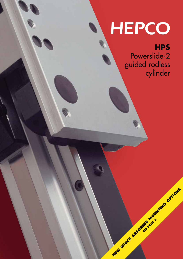# HEPCO

**HPS**

Powerslide-2 guided rodless cylinder

**MEW SHOCK A BSORBER MOUNTING OPTIONS SEE PAGE 6**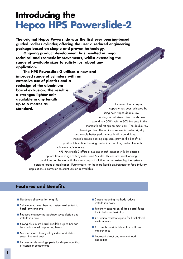# **Introducing the Hepco HPS Powerslide-2**

**The original Hepco Powerslide was the first ever bearing-based guided rodless cylinder, offering the user a reduced engineering package based on simple and proven technology.**

**Ongoing product development has resulted in major technical and cosmetic improvements, whilst extending the range of available sizes to satisfy just about any application.**

**The HPS Powerslide-2 utilises a new and improved range of cylinders with an extensive use of plastics and a redesign of the aluminium barrel extrusion. The result is a stronger, lighter unit available in any length up to 6 metres as standard.**

capacity has been achieved by using new Hepco double row bearings on all sizes. Direct loads now extend to 4000N with a 30% increase in the moment load ratings on most units. The double row bearings also offer an improvement in system rigidity and enable better performance in dirty conditions. Hepco's proven bearing cap seals provide the benefit of positive lubrication, bearing protection, and long system life with minimum maintenance.

HPS Powerslide-2 offers a mix and match concept with 10 possible options from a range of 5 cylinders and 5 slides. This ensures most loading conditions can be met with the most compact solution, further extending the system's potential areas of application. Furthermore, for the more hostile environment or food industry applications a corrosion resistant version is available.

## **Features and Benefits**

- Hardened slideway for long life
- Self cleaning 'vee' bearing system well suited to harsh environments
- Reduced engineering package saves design and installation time
- Strong aluminium barrel available up to 6m can be used as a self supporting beam
- Mix and match family of cylinders and slides saves time and cost
- Purpose made carriage plate for simple mounting of customer components
- Simple mounting methods reduce installation costs
- Proximity sensing on all free barrel faces for installation flexibility

Improved load carrying

- Corrosion resistant option for harsh/food environments
- Cap seals provide lubrication with low maintenance
- Improved direct and moment load capacities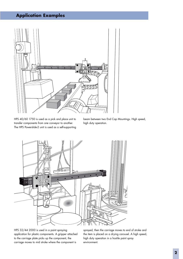## **Application Examples**



HPS 40/60 1750 is used as a pick and place unit to transfer components from one conveyor to another. The HPS Powerslide-2 unit is used as a self-supporting beam between two End Cap Mountings. High speed, high duty operation.



HPS 32/44 2000 is used in a paint spraying application for plastic components. A gripper attached to the carriage plate picks up the component, the carriage moves to mid stroke where the component is

sprayed, then the carriage moves to end of stroke and the item is placed on a drying carousel. A high speed, high duty operation in a hostile paint spray environment.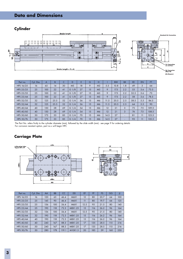# **Data and Dimensions**

**Cylinder**



| Part no.  | Cyl. Dia. | A   | B    |    | D              |    | G  | н              |      | <b>BW</b> | <b>BX</b>                | EE   | EN  | <b>FT</b> |
|-----------|-----------|-----|------|----|----------------|----|----|----------------|------|-----------|--------------------------|------|-----|-----------|
| HPS 16/25 | 16        | 65  | 14   | 30 | M <sub>5</sub> | 18 | 9  | M <sub>3</sub> | 5.5  | 10.8      | 1.8                      | 49   | 3   | 64        |
| HPS 25/25 | 25        | 100 | 22   | 41 | G1/8           | 27 | 15 | M <sub>5</sub> | 9    | 17.5      | 2.2                      | 53   | 3.6 | 73.5      |
| HPS 25/35 | 25        | 100 | 22   | 41 | G1/8           | 27 | 15 | M <sub>5</sub> | 9    | 17.5      | 2.2                      | 52.5 | 3.6 | 73        |
| HPS 25/44 | 25        | 100 | 22   | 41 | G1/8           | 27 | 15 | M <sub>5</sub> | 9    | 17.5      | 2.2                      | 58   | 3.6 | 78.5      |
| HPS 32/35 | 32        | 125 | 25.5 | 52 | G $1/4$        | 36 | 15 | M6             | 11.5 | 20.5      | 2.5                      | 58.5 | 5.5 | 84.5      |
| HPS 32/44 | 32        | 125 | 25.5 | 52 | G1/4           | 36 | 15 | M6             | 11.5 | 20.5      | 2.5                      | 64   | 5.5 | 90        |
| HPS 40/44 | 40        | 150 | 28   | 69 | G $1/4$        | 54 | 15 | M6             | 12   | 21        | 3                        | 75   | 7.5 | 109.5     |
| HPS 40/60 | 40        | 150 | 28   | 69 | G1/4           | 54 | 15 | M <sub>6</sub> | 12   | 21        | 3                        | 74   | 7.5 | 108.5     |
| HPS 50/60 | 50        | 175 | 33   | 85 | G $1/4$        | 70 | 15 | M6             | 14.5 | 27        | $\overline{\phantom{0}}$ | 81   | 11  | 123.5     |
| HPS 50/76 | 50        | 175 | 33   | 85 | G $1/4$        | 70 | 15 | M6             | 14.5 | 27        |                          | 93   | 11  | 135.5     |

The Part No. refers firstly to the cylinder diameter (mm), followed by the slide width (mm) - see page 9 for ordering details For corrosion resistant option, part no.s will begin HPC

### **Carriage Plate**



| Part no.  | Cyl. Dia. | AA  | <b>BB</b> | <b>CC</b> | <b>DD</b>   | EF              | <b>FF</b> | <b>FS</b> | <b>GG</b> | JJ  |
|-----------|-----------|-----|-----------|-----------|-------------|-----------------|-----------|-----------|-----------|-----|
| HPS 16/25 | 16        | 120 | 65        | 46.4      | <b>M6X1</b> | 12              | 80        | 20.7      | 64        | 100 |
| HPS 25/25 | 25        | 145 | 90        | 46.4      | <b>M6X1</b> | $\overline{11}$ | 80        | 19.7      | 64        | 125 |
| HPS 25/35 | 25        | 156 | 100       | 56.4      | <b>M6X1</b> | 12.5            | 95        | 21.5      | 80        | 140 |
| HPS 25/44 | 25        | 190 | 118       | 72.3      | M8X1.25     | 15              | 116       | 26.2      | 96        | 164 |
| HPS 32/35 | 32        | 156 | 100       | 56.4      | <b>M6X1</b> | 12.5            | 95        | 21.5      | 80        | 140 |
| HPS 32/44 | 32        | 190 | 118       | 72.3      | M8X1.25     | 15              | 116       | 26.2      | 96        | 164 |
| HPS 40/44 | 40        | 190 | 118       | 72.3      | M8X1.25     | 15              | 116       | 26.2      | 96        | 164 |
| HPS 40/60 | 40        | 240 | 167       | 88.3      | M8X1.25     | 17              | 135       | 28.5      | 115       | 216 |
| HPS 50/60 | 50        | 240 | 167       | 88.3      | M8X1.25     | 17              | 135       | 28.5      | 115       | 216 |
| HPS 50/76 | 50        | 280 | 178       | 119.1     | M10X1.5     | 20              | 185       | 39        | 160       | 250 |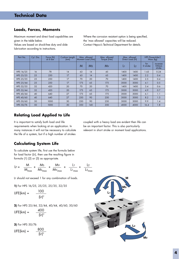#### **Loads, Forces, Moments**

Maximum moment and direct load capabilities are given in the table below.

Values are based on shock-free duty and slide lubrication according to instructions.

Where the corrosion resistant option is being specified, the 'max allowed' capacities will be reduced. Contact Hepco's Technical Department for details.

| Part No.  | Cyl. Dia. | Force (N)<br>at 6 bar | Cushion Length<br>(mm) | Max. allowed<br>Moment Load (Nm) |     | Max. allowed<br>Torque (Nm) |      | Max. allowed<br>Direct Load (N) | <b>HPS</b> Powerslide-2<br>Mass (kg) |                                         |  |
|-----------|-----------|-----------------------|------------------------|----------------------------------|-----|-----------------------------|------|---------------------------------|--------------------------------------|-----------------------------------------|--|
|           |           |                       |                        | M<br><b>Ms</b>                   |     | Mv                          | L١   | L <sub>2</sub>                  | for<br>0 stroke                      | increase<br>100 <sub>mm</sub><br>stroke |  |
| HPS 16/25 | 16        | 78                    | 14                     | 63                               | 14  | 45                          | 1400 | 1400                            | 1.63                                 | 0.24                                    |  |
| HPS 25/25 | 25        | 250                   | 17                     | 63                               | 14  | 63                          | 1400 | 1400                            | 2.2                                  | 0.4                                     |  |
| HPS 25/35 | 25        | 250                   | 17                     | 70                               | 20  | 70                          | 1400 | 1400                            | 2.5                                  | 0.4                                     |  |
| HPS 25/44 | 25        | 250                   | 17                     | 175                              | 65  | 175                         | 3000 | 3000                            | 4.1                                  | 0.5                                     |  |
| HPS 32/35 | 32        | 420                   | 20                     | 70                               | 20  | 70                          | 1400 | 1400                            | 3.4                                  | 0.6                                     |  |
| HPS 32/44 | 32        | 420                   | 20                     | 175                              | 65  | 175                         | 3000 | 3000                            | 4.9                                  | 0.7                                     |  |
| HPS 40/44 | 40        | 640                   | 27                     | 175                              | 65  | 175                         | 3000 | 3000                            | 6.1                                  | 1.1                                     |  |
| HPS 40/60 | 40        | 640                   | 27                     | 250                              | 90  | 250                         | 3000 | 3000                            | 8.2                                  | 1.3                                     |  |
| HPS 50/60 | 50        | 1000                  | 30                     | 250                              | 90  | 250                         | 3000 | 3000                            | 9.9                                  | 1.4                                     |  |
| HPS 50/76 | 50        | 1000                  | 30                     | 350                              | 140 | 350                         | 4000 | 4000                            | 16.4                                 | 1.8                                     |  |

#### **Relating Load Applied to Life**

It is important to satisfy both load and life requirements when looking at an application. In many instances it will not be necessary to calculate the life of a system, but if a high number of strokes

coupled with a heavy load are evident then life can be an important factor. This is also particularly relevant in short stroke or moment load applications.

#### **Calculating System Life**

To calculate system life, first use the formula below for load factor (LF), then use the resulting figure in formula (1) (2) or (3) as appropriate.

$$
LF = \frac{M}{M_{max}} + \frac{Ms}{Ms_{max}} + \frac{Mv}{Mv_{max}} + \frac{L1}{L1_{max}} + \frac{L2}{L2_{max}}
$$

LF should not exceed 1 for any combination of loads.

**1)** For HPS 16/25, 25/25, 25/35, 32/35

$$
LIFE(km) = \frac{100}{(LF)^3}
$$

**2)** For HPS 25/44, 32/44, 40/44, 40/60, 50/60

LIFE(km) = 
$$
\frac{400}{(LF)^3}
$$

**3)** For HPS 50/76 LIFE(km) =  $\frac{800}{400}$ 3

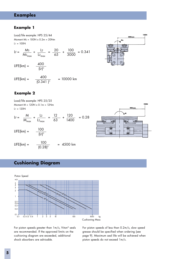## **Examples**

#### **Example 1**

Load/life example: HPS 25/44 Moment  $Ms = 100N \times 0.2m = 20Nm$  $L_1 = 100N$ 

LF =  $\frac{Ms}{11} + \frac{12}{11} = \frac{20}{15} + \frac{100}{2000} = 0.341$ Ms<sub>max</sub> L2<sub>max</sub> 65 3000

- $LIE[km] = \frac{400}{(LF)^3}$
- LIFE(km) =  $\frac{400}{10.841}$  = 10000 km  $(0.341)^3$

## **Example 2**

Load/life example: HPS 25/25 Moment  $M = 120N \times 0.1m = 12Nm$  $L1 = 120N$ 

- LF =  $\frac{M}{\frac{11}{1100}} + \frac{12}{\frac{12}{1100}} = \frac{12}{1100} + \frac{120}{1100} = 0.28$ M<sub>max</sub> L2<sub>max</sub> 63 1400
- $LIEE(km) = \frac{100}{(LF)^3}$
- $LIE[km] = \frac{100}{(0.28)^3} = 4500 \text{ km}$

## **Cushioning Diagram**



For piston speeds greater than 1m/s, Viton® seals are recommended. If the approved limits on the cushioning diagram are exceeded, additional shock absorbers are advisable.

For piston speeds of less than 0.2m/s, slow speed grease should be specified when ordering (see page 9). Maximum seal life will be achieved when piston speeds do not exceed 1m/s.



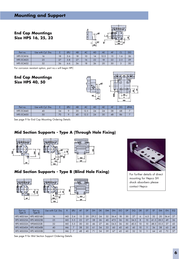**End Cap Mountings Size HPS 16, 25, 32**



| Part no.  | Use with Cyl. Dia. |    | ØU  | AB | AC | AD | AE   | AF | ◡∟          | DG |
|-----------|--------------------|----|-----|----|----|----|------|----|-------------|----|
| HPS ECM16 | 10                 | 18 | 3.6 | 18 | 10 | 14 | 12.5 | 15 | ∣.o         | 26 |
| HPS ECM25 | 25                 | 27 | 5.8 | 27 | ΙO | 22 | 18   | 22 | $\sim$<br>ت | 39 |
| HPS ECM32 | 32                 | 36 | 0.6 | 36 | 18 | 26 | 20   | 30 |             | 50 |

For corrosion resistant option, part no.s will begin HPC

**End Cap Mountings Size HPS 40, 50**



| Part no.  | Use with Cyl. Dia. |    | ØU | AB | AC   | AD | AE             | Al | DG | ØHA |
|-----------|--------------------|----|----|----|------|----|----------------|----|----|-----|
| HPS ECM40 | 40                 | 54 |    | 30 | 12.5 | 24 | 24             | 38 | 68 |     |
| HPS ECM50 | 50                 | 70 |    | 40 | 12.5 | 24 | 3 <sup>C</sup> | 48 | 86 |     |

See page 9 for End Cap Mounting Ordering Details

## **Mid Section Supports - Type A (Through Hole Fixing)**







#### **Mid Section Supports - Type B (Blind Hole Fixing)**

 $E<sub>N</sub>$ EQ





For further details of direct mounting for Hepco SH shock absorbers please contact Hepco

| Part no.<br>Type A | Part no.<br>Type B | Use with Cyl. Dia. | R              | ØU  | AF | DF | DH   | <b>DK</b> | DM | DN   | DC | <b>DP</b> | DQ   | <b>DR</b>       | DT  | EF   | EM   | <b>EN</b> | EQ |
|--------------------|--------------------|--------------------|----------------|-----|----|----|------|-----------|----|------|----|-----------|------|-----------------|-----|------|------|-----------|----|
| <b>HPS MSS16A</b>  | HPS MSS16B         | 16                 | M <sub>3</sub> | 3.4 | 15 | 20 | 29.2 | 24        | 32 | 36.4 | 18 | 30        | 27   | 6               | 6.5 | 32   | 20   | 36.4      | 27 |
| <b>HPS MSS25A</b>  | HPS MSS25B         | 25                 | M <sub>5</sub> | 5.5 | 22 | 27 | 38   | 26        | 40 | 47.5 | 36 | 50        | 34.5 | $\mathsf{R}$    | 10  | 41.5 | 28.5 | 49        | 36 |
| <b>HPS MSS32A</b>  | HPSMSS32B          | 32                 | M <sub>5</sub> | 5.5 | 30 | 33 | 46   | 27        | 46 | 54.5 | 36 | 50        | 40.5 | 10              | 10  | 48.5 | 35.5 | 57        | 43 |
| <b>HPS MSS40A</b>  | HPS MSS40B         | 40                 | M <sub>6</sub> |     | 38 | 35 | 61   | 34        | 53 | 60   | 45 | 60        | 45   | 10 <sup>°</sup> |     | 56   | 38   | 63        | 48 |
| <b>HPS MSS50A</b>  | HPS MSS50B         | 50                 | M6             |     | 48 | 40 | 71   | 34        | 59 | 67   | 45 | 60        | 52   | 10 <sup>°</sup> |     | 64   | 45   | 72        | 57 |

See page 9 for Mid Section Support Ordering Details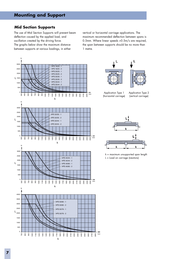#### **Mid Section Supports**

The use of Mid Section Supports will prevent beam deflection caused by the applied load, and oscillation created by the driving force. The graphs below show the maximum distance between supports at various loadings, in either

vertical or horizontal carriage applications. The maximum recommended deflection between spans is 0.5mm. Where linear speeds >0.5m/s are required, the span between supports should be no more than 1 metre.

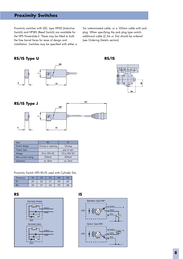# **Proximity Switches**

Proximity switches with LED, type HPSIS (Inductive Switch) and HPSRS (Reed Switch) are available for the HPS Powerslide-2. These may be fitted to both the free barrel faces for ease of design and installation. Switches may be specified with either a 5m unterminated cable, or a 100mm cable with jack plug. When specifying the jack plug type switch, additional cable (2.5m or 5m) should be ordered (see Ordering Details section).

### **RS/IS Type U**







| lype               | <b>RS</b>          |                    |
|--------------------|--------------------|--------------------|
| Switch design      | Closing or opening | Closing            |
| Output type        |                    | pnp or npn         |
| Voltage            | 10 to 70V AC       | 10 to 30V DC       |
| Max current rating | 200 <sub>m</sub> A | 200 <sub>m</sub> A |
| <b>Hysteresis</b>  | ca. 8mm            | ca.3mm             |

Proximity Switch HPS RS/IS used with Cylinder Dia.

| Dimension |    |     | $\sim$ |    |  |
|-----------|----|-----|--------|----|--|
| NU        | 20 | دے  |        | 36 |  |
|           | ח  | n., |        | 30 |  |

**RS IS**



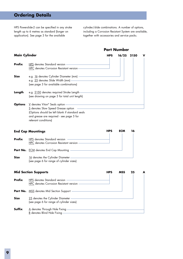## **Ordering Details**

HPS Powerslide-2 can be specified in any stroke length up to 6 metres as standard (longer on application). See page 3 for the available

cylinder/slide combinations. A number of options, including a Corrosion Resistant System are available, together with accessories and service packs.

**Main Cylinder Prefix** HPS denotes Standard version -**HPC** denotes Corrosion Resistant version-**Size** e.g. 16 denotes Cylinder Diameter (mm) e.g. 25 denotes Slide Width (mm) (see page 3 for available combinations) Length e.g. 2150 denotes required Stroke Length-(see drawing on page 3 for total unit length) **Options** V denotes Viton® Seals option-S denotes Slow Speed Grease option (Options should be left blank if standard seals and grease are required - see page 5 for relevant conditions) **End Cap Mountings Prefix** HPS denotes Standard version -HPC denotes Corrosion Resistant version -Part No. ECM denotes End Cap Mounting -**Size** 16 denotes the Cylinder Diameter-(see page 6 for range of cylinder sizes) **Mid Section Supports Prefix** HPS denotes Standard version -HPC denotes Corrosion Resistant version Part No. MSS denotes Mid Section Support -**Size** 25 denotes the Cylinder Diameter-(see page 6 for range of cylinder sizes) **Suffix** A denotes Through Hole Fixing B denotes Blind Hole Fixing -**HPS 16/25 2150 V HPS MSS 25 A HPS ECM 16 Part Number**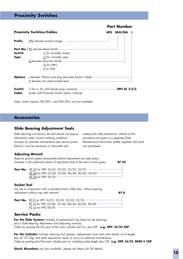## **Proximity Switches**

|                 |                                                                                                                                                               |            | <b>Part Number</b>  |
|-----------------|---------------------------------------------------------------------------------------------------------------------------------------------------------------|------------|---------------------|
|                 | <b>Proximity Switches/Cables</b>                                                                                                                              | <b>HPS</b> | <b>RSO/ISN</b>      |
| Prefix          | HPS denotes product range                                                                                                                                     |            |                     |
| Switch<br>Type  | <b>Part No./</b> RS denotes Reed Switch -<br>$C$ for normally closed<br>$\Omega$ for normally open<br>IS denotes Inductive Switch —<br>N for NPN<br>P for PNP |            |                     |
| Options         | <u>J</u> denotes 100mm jack plug lead (see Switch Cable) —————                                                                                                |            |                     |
| Switch<br>Cable | 2.5m or 5m with female plug connector ——<br>(order with Proximity Switch option J above)                                                                      |            | <b>HPS SC 2.5/5</b> |

Note: switch options HPS RSC J and HPS ISN J are not available

#### **Accessories**

#### **Slide Bearing Adjustment Tools**

Slide bearings are factory set and should not require adjustment under normal working conditions, however for planned maintenance (see service packs below) it may be necessary to dismantle and

readjust the slide mechanism. Details of this procedure are given in a separate Slide Maintenance Instructions leaflet supplied with each unit purchased.

**RT 8**

#### **Adjusting Wrench**

**AT 25** Requires partial system disassembly before adjustment can take place, however is the preferred means of adjustment due to the extra control given.

**Part No.** AT 25 for HPS 16/25, 25/25, 25/35, 32/35 -AT 34 for HPS 25/44, 32/44, 40/44, 40/60, 50/60 AT 54 for HPS 50/76

#### **Socket Tool**

For use in conjunction with a standard metric Allen Key - allows bearing adjustment without cap seal removal.

**Part No.** RT 8 for HPS 16/25, 25/25, 25/35, 32/35 RT 10 for HPS 25/44, 32/44, 40/44, 40/60, 50/60 RT 14 for HPS 50/76

#### **Service Packs**

For the Slide System: Includes 4 replacement Cap Seals for the bearings, plus a Slide Bearing Adjustment Tool (adjusting wrench). Order by quoting the first part of the main cylinder part no. plus SSP **e.g. HPC 16/25 SSP**

For the Cylinder: Includes cleaning tool, grease, replacement inner and outer bands cut to length, plus all 'O' rings and seals required to repair or carry out planned maintenance. Order by quoting all of the main cylinder part no. including stroke length, plus CSP **e.g. HPS 16/25 2040 V CSP**

**Shock Absorbers** are also available - please ask Hepco for full details.